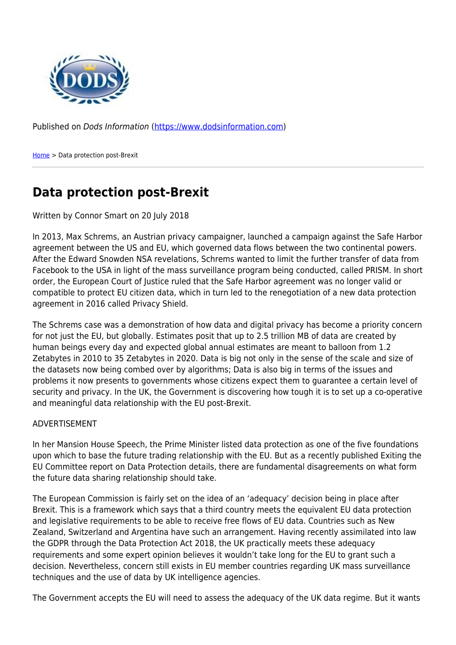

Published on Dods Information ([https://www.dodsinformation.com\)](https://www.dodsinformation.com)

[Home](https://www.dodsinformation.com/) > Data protection post-Brexit

## **Data protection post-Brexit**

## Written by Connor Smart on 20 July 2018

In 2013, Max Schrems, an Austrian privacy campaigner, launched a campaign against the Safe Harbor agreement between the US and EU, which governed data flows between the two continental powers. After the Edward Snowden NSA revelations, Schrems wanted to limit the further transfer of data from Facebook to the USA in light of the mass surveillance program being conducted, called PRISM. In short order, the European Court of Justice ruled that the Safe Harbor agreement was no longer valid or compatible to protect EU citizen data, which in turn led to the renegotiation of a new data protection agreement in 2016 called Privacy Shield.

The Schrems case was a demonstration of how data and digital privacy has become a priority concern for not just the EU, but globally. Estimates posit that up to 2.5 trillion MB of data are created by human beings every day and expected global annual estimates are meant to balloon from 1.2 Zetabytes in 2010 to 35 Zetabytes in 2020. Data is big not only in the sense of the scale and size of the datasets now being combed over by algorithms; Data is also big in terms of the issues and problems it now presents to governments whose citizens expect them to guarantee a certain level of security and privacy. In the UK, the Government is discovering how tough it is to set up a co-operative and meaningful data relationship with the EU post-Brexit.

## ADVERTISEMENT

In her Mansion House Speech, the Prime Minister listed data protection as one of the five foundations upon which to base the future trading relationship with the EU. But as a recently published Exiting the EU Committee report on Data Protection details, there are fundamental disagreements on what form the future data sharing relationship should take.

The European Commission is fairly set on the idea of an 'adequacy' decision being in place after Brexit. This is a framework which says that a third country meets the equivalent EU data protection and legislative requirements to be able to receive free flows of EU data. Countries such as New Zealand, Switzerland and Argentina have such an arrangement. Having recently assimilated into law the GDPR through the Data Protection Act 2018, the UK practically meets these adequacy requirements and some expert opinion believes it wouldn't take long for the EU to grant such a decision. Nevertheless, concern still exists in EU member countries regarding UK mass surveillance techniques and the use of data by UK intelligence agencies.

The Government accepts the EU will need to assess the adequacy of the UK data regime. But it wants